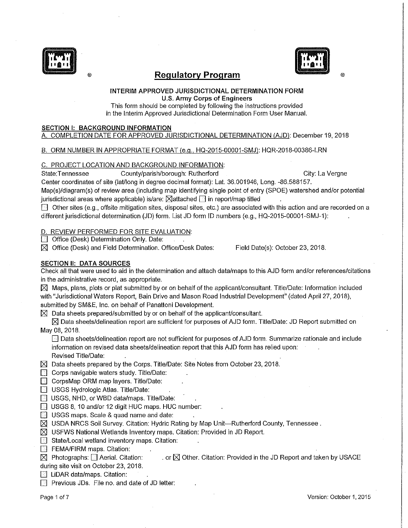



®

# ® **Regulatory Program**

#### **INTERIM APPROVED JURISDICTIONAL DETERMINATION FORM U.S. Army Corps of Engineers**

This form should be completed by following the instructions provided in the Interim Approved Jurisdictional Determination Form User Manual.

#### **SECTION I: BACKGROUND INFORMATION**

A. COMPLETION DATE FOR APPROVED JURISDICTIONAL DETERMINATION (AJD): December 19, 2018

#### B. ORM NUMBER IN APPROPRIATE FORMAT (e.g., HQ-2015-00001-SMJ): HQR-2018-00386-LRN

## C. PROJECT LOCATION AND BACKGROUND INFORMATION:

State:Tennessee County/parish/borough: Rutherford City: La Vergne

Center coordinates of site {lat/long in degree decimal format): Lat. 36.001946, Long. -86.588157.

Map(s)/diagram(s) of review area (including map identifying single point of entry (SPOE) watershed and/or potential jurisdictional areas where applicable) is/are:  $\boxtimes$  attached  $\boxdot$  in report/map titled

D Other sites (e.g., offsite mitigation sites, disposal sites, etc.) are associated with this action and are recorded on a different jurisdictional determination (JD) form. List JD form ID numbers (e.g., HQ-2015-00001-SMJ-1):

#### D. REVIEW PERFORMED FOR SITE EVALUATION:

**D** Office (Desk) Determination Only. Date:

ISi Office (Desk) and Field Determination. Office/Desk Dates: Field Date(s): October 23, 2018.

#### **SECTION II: DATA SOURCES**

Check all that were used to aid in the determination and attach data/maps to this AJD form and/or references/citations in the administrative record, as appropriate.

 $\boxtimes$  Maps, plans, plots or plat submitted by or on behalf of the applicant/consultant. Title/Date: Information included with "Jurisdictional Waters Report, Bain Drive and Mason Road Industrial Development" (dated April 27, 2018), submitted by SM&E, Inc. on behalf of Panattoni Development.

 $\boxtimes$  Data sheets prepared/submitted by or on behalf of the applicant/consultant.

 $\boxtimes$  Data sheets/delineation report are sufficient for purposes of AJD form. Title/Date: JD Report submitted on May 08, 2018.

 $\Box$  Data sheets/delineation report are not sufficient for purposes of AJD form. Summarize rationale and include information on revised data sheets/delineation report that this AJD form has relied upon: Revised Title/Date:

 $\boxtimes$  Data sheets prepared by the Corps. Title/Date: Site Notes from October 23, 2018.

 $\Box$  Corps navigable waters study. Title/Date:

**B** CorpsMap ORM map layers. Title/Date:

**1** USGS Hydrologic Atlas. Title/Date:

**1** USGS, NHD, or WBD data/maps. Title/Date:

**D** USGS 8, 10 and/or 12 digit HUC maps. HUC number:

 $\Box$  USGS maps. Scale & quad name and date:

 $✓$  **USDA NRCS Soil Survey. Citation: Hydric Rating by Map Unit--Rutherford County, Tennessee.** 

 $\boxtimes$  USFWS National Wetlands Inventory maps. Citation: Provided in JD Report.

 $\boxed{\triangleleft}$  State/Local wetland inventory maps. Citation:

 $\Box$  FEMA/FIRM maps. Citation:

ISi Photographs: D Aerial. Citation: . or ISi other. Citation: Provided in the JD Report and taken by USAGE during site visit on October 23, 2018.

 $\boxed{\phantom{a}}$  LiDAR data/maps. Citation:

 $\boxed{3}$  Previous JDs. File no. and date of JD letter: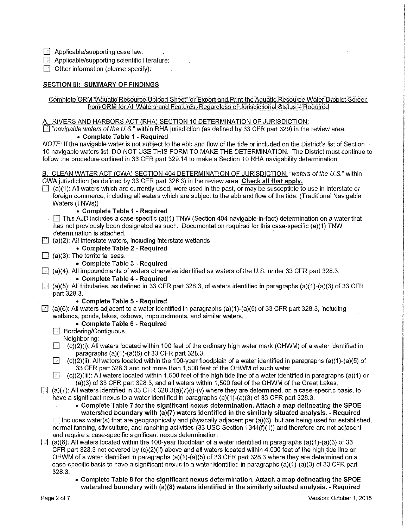$\Box$  Applicable/supporting case law:

D Applicable/supporting scientific literature:

 $\Box$  Other information (please specify):

## SECTION III: SUMMARY OF FINDINGS

#### Complete ORM "Aquatic Resource Upload Sheet" or Export and Print the Aquatic Resource Water Droplet Screen from ORM for All Waters and Features, Regardless of Jurisdictional Status - Required

A RIVERS AND HARBORS ACT (RHA) SECTION 10 DETERMINATION OF JURISDICTION:

 $\Box$  "navigable waters of the U.S." within RHA jurisdiction (as defined by 33 CFR part 329) in the review area.

• Complete Table 1 - Required

*NOTE:* If the navigable water is not subject to the ebb and flow of the tide or included on the District's list of Section 10 navigable waters list, DO NOT USE THIS FORM TO MAKE THE DETERMINATION. The District must continue to follow the procedure outlined in 33 CFR part 329.14 to make a Section 10 RHA navigability determination.

B. CLEAN WATER ACT (CWA) SECTION 404 DETERMINATION OF JURISDICTION: "waters of the U.S." within CWA jurisdiction (as defined by 33 CFR part 328.3) in the review area. Check all that apply.

 $\lceil \cdot \rceil$  (a)(1): All waters which are currently used, were used in the past, or may be susceptible to use in interstate or foreign commerce, including all waters which are subject to the ebb and flow of the tide. (Traditional Navigable Waters (TNWs))

• Complete Table 1 - Required

- D This AJD includes a case-specific (a)(1) TNW (Section 404 navigable-in-fact) determination on a water that has not previously been designated as such. Documentation required for this case-specific (a)(1) TNW determination is attached.
- $\boxed{3}$  (a)(2): All interstate waters, including interstate wetlands.

## • Complete Table 2 - Required

- $\boxed{\phantom{a}}$  (a)(3): The territorial seas,
	- Complete Table 3 Required
- $\Box$  (a)(4): All impoundments of waters otherwise identified as waters of the U.S. under 33 CFR part 328.3.

#### • Complete Table 4 - Required

 $\Box$  (a)(5): All tributaries, as defined in 33 CFR part 328.3, of waters identified in paragraphs (a)(1)-(a)(3) of 33 CFR part 328.3.

#### • Complete Table 5 - Required

 $\Box$  (a)(6): All waters adjacent to a water identified in paragraphs (a)(1)-(a)(5) of 33 CFR part 328.3, including wetlands, ponds, lakes, oxbows, impoundments, and similar waters.

## • Complete Table 6 - Required

 $\Box$  Bordering/Contiguous.

Neighboring:

- $\Box$  (c)(2)(i): All waters located within 100 feet of the ordinary high water mark (OHWM) of a water identified in paragraphs (a)(1)-(a)(5) of 33 CFR part 328.3.
- $\boxed{3}$  (c)(2)(ii): All waters located within the 100-year floodplain of a water identified in paragraphs (a)(1)-(a)(5) of 33 CFR part 328.3 and not more than 1,500 feet of the OHWM of such water.
- $\Box$  (c)(2)(iii): All waters located within 1,500 feet of the high tide line of a water identified in paragraphs (a)(1) or (a)(3) of 33 CFR part 328,3, and all waters within 1,500 feet of the OHWM of the Great Lakes.
- $\boxdot$  (a)(7): All waters identified in 33 CFR 328.3(a)(7)(i)-(v) where they are determined, on a case-specific basis, to have a significant nexus to a water identified in paragraphs (a)(1)-(a)(3) of 33 CFR part 328.3.
	- Complete Table 7 for the significant nexus determination, Attach a map delineating the SPOE watershed boundary with (a)(7) waters identified in the similarly situated analysis, - Required **D** Includes water(s) that are geographically and physically adjacent per (a)(6), but are being used for established, normal farming, silviculture, and ranching activities (33 USC Section 1344(f)(1)) and therefore are not adjacent and require a case-specific significant nexus determination.
- $\boxdot$  (a)(8): All waters located within the 100-year floodplain of a water identified in paragraphs (a)(1)-(a)(3) of 33 CFR part 328.3 not covered by (c)(2)(ii) above and all waters located within 4,000 feet of the high tide line or OHWM of a water identified in paragraphs (a)(1)-(a)(5) of 33 CFR part 328.3 where they are determined on a case-specific basis to have a significant nexus to a water identified in paragraphs (a)(1 )-(a)(3) of 33 CFR part 328.3,
	- Complete Table 8 for the significant nexus determination, Attach a map delineating the SPOE watershed boundary with  $(a)(8)$  waters identified in the similarly situated analysis. - Required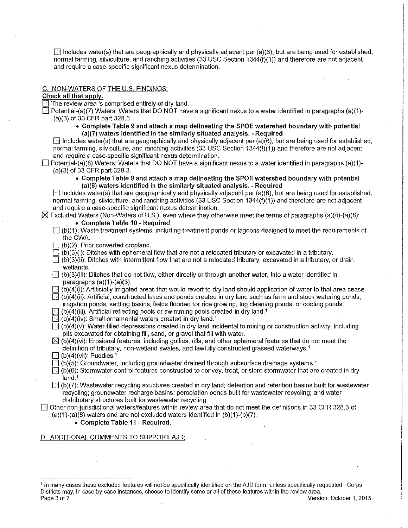$\Box$  Includes water(s) that are geographically and physically adjacent per (a)(6), but are being used for established, normal farming, silviculture, and ranching activities (33 USC Section 1344(f)(1)) and therefore are not adjacent and require a case-specific significant nexus determination.

#### C. NON-WATERS OF THE U.S. FINDINGS:

#### **Check all that apply.**

 $\Box$  The review area is comprised entirely of dry land.

 $\Box$  Potential-(a)(7) Waters: Waters that DO NOT have a significant nexus to a water identified in paragraphs (a)(1)-(a)(3) of 33 CFR part 328.3.

> • **Complete Table 9 and attach a map delineating the SPOE watershed boundary with potential (a)(7) waters identified in the similarly situated analysis. - Required**

 $\Box$  Includes water(s) that are geographically and physically adjacent per (a)(6), but are being used for established, normal farming, silviculture, and ranching activities (33 USC Section 1344(f)(1)) and therefore are not adjacent and require a case-specific significant nexus determination.

- D Potential-(a)(8) Waters: Waters that DO NOT have a significant nexus to a water identified in paragraphs (a)(1)-(a)(3) of 33 CFR part 328.3.
	- **Complete Table 9 and attach a map delineating the SPOE watershed boundary with potential (a){B) waters identified in the similarly situated analysis. - Required**

 $\Box$  Includes water(s) that are geographically and physically adjacent per (a)(6), but are being used for established, normal farming, silviculture, and ranching activities (33 USC Section 1344(f)(1)) and therefore are not adjacent and require a case-specific significant nexus determination.

 $\boxtimes$  Excluded Waters (Non-Waters of U.S.), even where they otherwise meet the terms of paragraphs (a)(4)-(a)(8):

#### • **Complete Table 10 - Required**

- $\Box$  (b)(1): Waste treatment systems, including treatment ponds or lagoons designed to meet the requirements of the CWA.
- $\boxed{\phantom{a}}$  (b)(2): Prior converted cropland.
- $\Box$  (b)(3)(i): Ditches with ephemeral flow that are not a relocated tributary or excavated in a tributary.
- $\Box$  (b)(3)(ii): Ditches with intermittent flow that are not a relocated tributary, excavated in a tributary, or drain wetlands.
- $\Box$  (b)(3)(iii): Ditches that do not flow, either directly or through another water, into a water identified in paragraphs  $(a)(1)-(a)(3)$ .
- $\Box$  (b)(4)(i): Artificially irrigated areas that would revert to dry land should application of water to that area cease.
- $\Box$  (b)(4)(ii): Artificial, constructed lakes and ponds created in dry land such as farm and stock watering ponds,
- irrigation ponds, settling basins, fields flooded for rice growing, log cleaning ponds, or cooling ponds.
- $\mathbb{B}$  (b)(4)(iii): Artificial reflecting pools or swimming pools created in dry land.<sup>1</sup>
- $\sqrt{2}$  (b)(4)(iv): Small ornamental waters created in dry land.<sup>1</sup>
- $\Box$  (b)(4)(v): Water-filled depressions created in dry land incidental to mining or construction activity, including pits excavated for obtaining fill, sand, or gravel that fill with water.
- $\boxtimes$  (b)(4)(vi): Erosional features, including gullies, rills, and other ephemeral features that do not meet the definition of tributary, non-wetland swales, and lawfully constructed grassed waterways. <sup>1</sup>
	- (b) $(4)$ (vii): Puddles.<sup>1</sup>
- $\Box$  (b)(5): Groundwater, including groundwater drained through subsurface drainage systems.<sup>1</sup>
- $\Box$  (b)(6): Stormwater control features constructed to convey, treat, or store stormwater that are created in dry land.<sup>1</sup>
- $\Box$  (b)(7): Wastewater recycling structures created in dry land; detention and retention basins built for wastewater recycling; groundwater recharge basins; percolation ponds built for wastewater recycling; and water distributary structures built for wastewater recycling.

## D Other non-jurisdictional waters/features within review area that do not meet the definitions in 33 CFR 328.3 of (a)(1)-(a)(8) waters and are not excluded waters identified in (b)(1)-(b)(7).

## • **Complete Table 11 - Required.**

#### D. ADDITIONAL COMMENTS TO SUPPORT AJD:

<sup>1</sup>**In many cases these excluded features will not be specifically identified on the AJD form, unless specifically requested. Corps Districts may, in case-by-case instances, choose to identify some or all of these features within the review area.**  Page 3 of 7 Version: October 1, 2015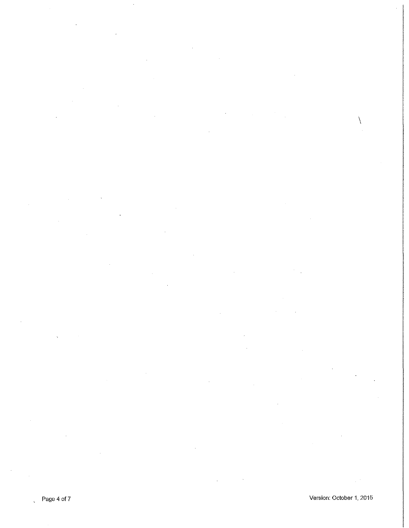$\bigwedge$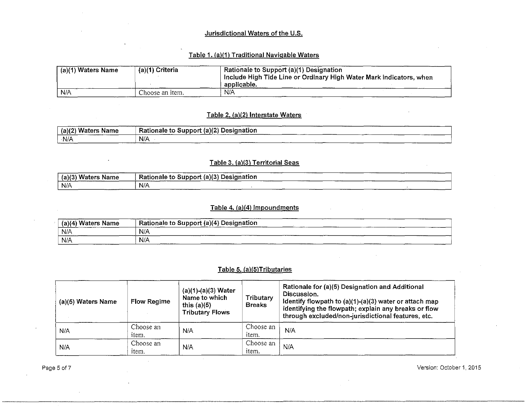# Jurisdictional Waters of the U.S.

# Table 1. (a)(1) Traditional Navigable Waters

| (a)(1) Waters Name                                           | (a)(1) Criteria | Rationale to Support (a)(1) Designation<br>Include High Tide Line or Ordinary High Water Mark indicators, when<br>' applicable. |
|--------------------------------------------------------------|-----------------|---------------------------------------------------------------------------------------------------------------------------------|
| N/A<br>the local state was seen the state of the local state | Choose an item. | N/A                                                                                                                             |

# Table 2. (a)(2) Interstate Waters

| <b>Waters Name</b><br>(a)(2) | Rationale to Support (a)(2) Designation |
|------------------------------|-----------------------------------------|
| N/A                          | N/A<br>____<br>---------                |

## Table 3. (a)(3) Territorial Seas

| ---------     | ----------                    |
|---------------|-------------------------------|
| <b>Waters</b> | <b>TAARTAL</b>                |
| (a)(3)        | Rationale to Support (a)(3) L |
| Name          | ) Designation                 |
| N/A           | N/A                           |

# Table 4. (a)(4) Impoundments

| Waters Name<br>(a)(4)<br>---------- | Rationale to Support (a)(4) Designation     |
|-------------------------------------|---------------------------------------------|
| N/A                                 | N/A<br>_____<br>-----------                 |
| N/A                                 | N/A<br>______<br>-----<br>_________________ |

# Table 5. (a)(5)Tributaries

| (a)(5) Waters Name | <b>Flow Regime</b> | $(a)(1)-(a)(3)$ Water<br>Name to which<br>this $(a)(5)$<br><b>Tributary Flows</b> | Tributary<br><b>Breaks</b> | Rationale for (a)(5) Designation and Additional<br>Discussion.<br>Identify flowpath to $(a)(1)-(a)(3)$ water or attach map<br>identifying the flowpath; explain any breaks or flow<br>through excluded/non-jurisdictional features, etc. |  |  |  |  |
|--------------------|--------------------|-----------------------------------------------------------------------------------|----------------------------|------------------------------------------------------------------------------------------------------------------------------------------------------------------------------------------------------------------------------------------|--|--|--|--|
| N/A                | Choose an<br>item. | N/A                                                                               | . Choose an<br>item.       | N/A                                                                                                                                                                                                                                      |  |  |  |  |
| N/A                | Choose an<br>item. | N/A                                                                               | . Choose an<br>item.       | N/A                                                                                                                                                                                                                                      |  |  |  |  |

Page 5 of 7 Version: October 1, 2015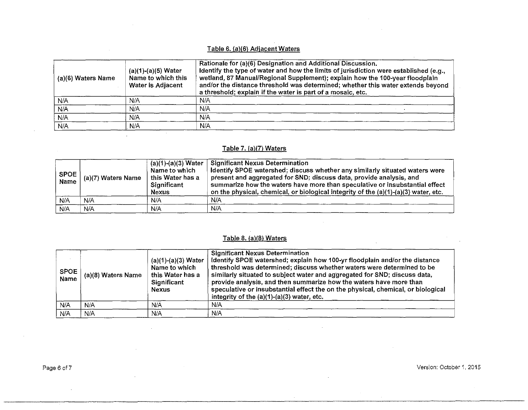# Table 6. (a){6\ Adjacent Waters

| (a)(6) Waters Name | $(a)(1)-(a)(5)$ Water<br>Name to which this<br><b>Water is Adjacent</b> | Rationale for (a)(6) Designation and Additional Discussion.<br>Identify the type of water and how the limits of jurisdiction were established (e.g.,<br>wetland, 87 Manual/Regional Supplement); explain how the 100-year floodplain<br>and/or the distance threshold was determined; whether this water extends beyond<br>a threshold; explain if the water is part of a mosaic, etc. |  |  |  |  |  |
|--------------------|-------------------------------------------------------------------------|----------------------------------------------------------------------------------------------------------------------------------------------------------------------------------------------------------------------------------------------------------------------------------------------------------------------------------------------------------------------------------------|--|--|--|--|--|
| N/A                | N/A                                                                     | N/A                                                                                                                                                                                                                                                                                                                                                                                    |  |  |  |  |  |
| N/A                | N/A                                                                     | N/A                                                                                                                                                                                                                                                                                                                                                                                    |  |  |  |  |  |
| N/A                | N/A                                                                     | N/A                                                                                                                                                                                                                                                                                                                                                                                    |  |  |  |  |  |
| N/A                | N/A                                                                     | N/A                                                                                                                                                                                                                                                                                                                                                                                    |  |  |  |  |  |

# Table 7. (a)(7) Waters

| <b>SPOE</b><br>Name | ' (a)(7) Waters Name | (a)(1)-(a)(3) Water<br>Name to which<br>this Water has a<br>Significant<br><b>Nexus</b> | <b>Significant Nexus Determination</b><br>Identify SPOE watershed; discuss whether any similarly situated waters were<br>present and aggregated for SND; discuss data, provide analysis, and<br>summarize how the waters have more than speculative or insubstantial effect<br>on the physical, chemical, or biological integrity of the (a)(1)-(a)(3) water, etc. |
|---------------------|----------------------|-----------------------------------------------------------------------------------------|--------------------------------------------------------------------------------------------------------------------------------------------------------------------------------------------------------------------------------------------------------------------------------------------------------------------------------------------------------------------|
| N/A                 | N/A                  | N/A                                                                                     | N/A                                                                                                                                                                                                                                                                                                                                                                |
| N/A                 | N/A                  | N/A                                                                                     | N/A                                                                                                                                                                                                                                                                                                                                                                |

# Table 8. (a)(8) Waters

| <b>SPOE</b><br>Name | $(a)(1)-(a)(3)$ Water<br>Name to which<br>this Water has a<br>(a)(8) Waters Name<br>Significant<br><b>Nexus</b> |     | <b>Significant Nexus Determination</b><br>Identify SPOE watershed; explain how 100-yr floodplain and/or the distance<br>threshold was determined; discuss whether waters were determined to be<br>similarly situated to subject water and aggregated for SND; discuss data,<br>provide analysis, and then summarize how the waters have more than<br>speculative or insubstantial effect the on the physical, chemical, or biological<br>integrity of the $(a)(1)-(a)(3)$ water, etc. |
|---------------------|-----------------------------------------------------------------------------------------------------------------|-----|---------------------------------------------------------------------------------------------------------------------------------------------------------------------------------------------------------------------------------------------------------------------------------------------------------------------------------------------------------------------------------------------------------------------------------------------------------------------------------------|
| N/A                 | N/A                                                                                                             | N/A | N/A                                                                                                                                                                                                                                                                                                                                                                                                                                                                                   |
| N/A                 | N/A                                                                                                             | N/A | N/A                                                                                                                                                                                                                                                                                                                                                                                                                                                                                   |

Page 6 of 7 Version: October 1, 2015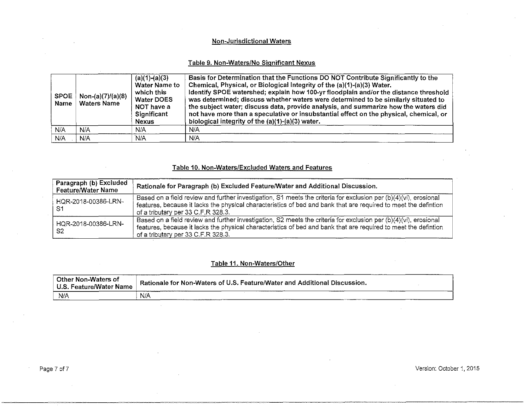# Non-Jurisdictional Waters

# Table 9. Non-Waters/No Significant Nexus

| <b>SPOE</b><br><b>Name</b> | Non-(a) $(7)/(a)(8)$<br><b>Waters Name</b> | $(a)(1)-(a)(3)$<br>Water Name to<br>which this<br><b>Water DOES</b><br>NOT have a<br>Significant<br><b>Nexus</b> | Basis for Determination that the Functions DO NOT Contribute Significantly to the<br>Chemical, Physical, or Biological Integrity of the (a)(1)-(a)(3) Water.<br>Identify SPOE watershed; explain how 100-yr floodplain and/or the distance threshold<br>was determined; discuss whether waters were determined to be similarly situated to<br>the subject water; discuss data, provide analysis, and summarize how the waters did<br>not have more than a speculative or insubstantial effect on the physical, chemical, or<br>biological integrity of the $(a)(1)-(a)(3)$ water. |
|----------------------------|--------------------------------------------|------------------------------------------------------------------------------------------------------------------|-----------------------------------------------------------------------------------------------------------------------------------------------------------------------------------------------------------------------------------------------------------------------------------------------------------------------------------------------------------------------------------------------------------------------------------------------------------------------------------------------------------------------------------------------------------------------------------|
| N/A                        | N/A                                        | N/A                                                                                                              | N/A                                                                                                                                                                                                                                                                                                                                                                                                                                                                                                                                                                               |
| N/A                        | N/A                                        | `N/A                                                                                                             | N/A                                                                                                                                                                                                                                                                                                                                                                                                                                                                                                                                                                               |

# Table 10. Non-Waters/Excluded Waters and Features

| Paragraph (b) Excluded<br>Feature/Water Name | Rationale for Paragraph (b) Excluded Feature/Water and Additional Discussion.                                                                                                                                                                                                |
|----------------------------------------------|------------------------------------------------------------------------------------------------------------------------------------------------------------------------------------------------------------------------------------------------------------------------------|
| HQR-2018-00386-LRN-<br>-S1                   | Based on a field review and further investigation, S1 meets the criteria for exclusion per (b)(4)(vi), erosional<br>features, because it lacks the physical characteristics of bed and bank that are required to meet the defintion<br>of a tributary per 33 C.F.R 328.3.    |
| HQR-2018-00386-LRN-<br>-S2                   | Based on a field review and further investigation, S2 meets the criteria for exclusion per $(b)(4)(vi)$ , erosional<br>features, because it lacks the physical characteristics of bed and bank that are required to meet the defintion<br>of a tributary per 33 C.F.R 328.3. |

# Table 11. Non-Waters/Other

| Other Non-Waters of | Rationale for Non-Waters of U.S. Feature/Water and Additional Discussion.<br>,,,,,,,,,,,,,,,,,,,,,<br> |
|---------------------|--------------------------------------------------------------------------------------------------------|
| N/A                 | N/A<br>-----------<br>---------                                                                        |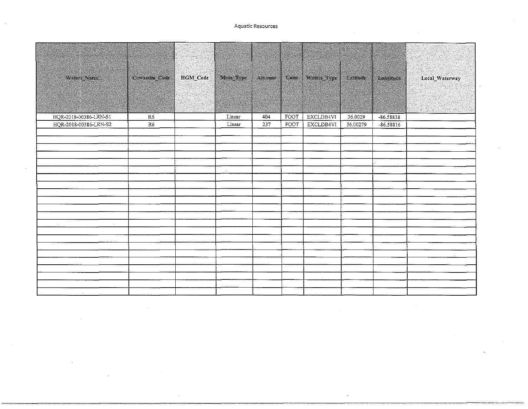| Waters_Name           | Cowardin_Code  | HGM_Code | Meas_Type | Amount | Units | Waters Type | Latitude | Longitude   | Local_Waterway |
|-----------------------|----------------|----------|-----------|--------|-------|-------------|----------|-------------|----------------|
| HQR-2018-00386-LRN-S1 | R <sub>6</sub> |          | Linear    | 404    | FOOT  | EXCLDB4VI   | 36.0029  | $-86.58838$ |                |
| HQR-2018-00386-LRN-S2 | R6             |          | Linear    | 237    | FOOT  | EXCLDB4VI   | 36.00279 | $-86.58816$ |                |
|                       |                |          |           |        |       |             |          |             |                |
|                       |                |          |           |        |       |             |          |             |                |
|                       |                |          |           |        |       |             |          |             |                |
|                       |                |          |           |        |       |             |          |             |                |
|                       |                |          |           |        |       |             |          |             |                |
|                       |                |          | $\cdot$   |        |       |             |          |             |                |
|                       |                |          |           |        |       |             |          |             |                |
|                       |                |          |           |        |       |             |          |             |                |
|                       |                |          |           |        |       | $\sim$      |          |             |                |
|                       |                |          |           |        |       |             |          |             |                |
|                       |                |          |           |        |       |             |          |             |                |
|                       |                |          |           |        |       |             |          |             |                |
| $\sim$<br>$\sim$      |                |          |           |        |       |             |          |             |                |
|                       |                |          |           |        |       |             |          |             |                |
|                       |                |          |           |        |       |             |          |             |                |
|                       |                |          |           |        |       |             |          |             |                |
|                       |                |          |           |        |       |             |          |             |                |
|                       |                |          |           |        |       |             |          |             |                |
|                       |                |          |           |        |       |             |          |             |                |
|                       |                |          |           |        |       |             |          |             |                |
|                       |                |          |           |        |       |             |          |             |                |
|                       |                |          |           |        |       |             |          |             |                |

J.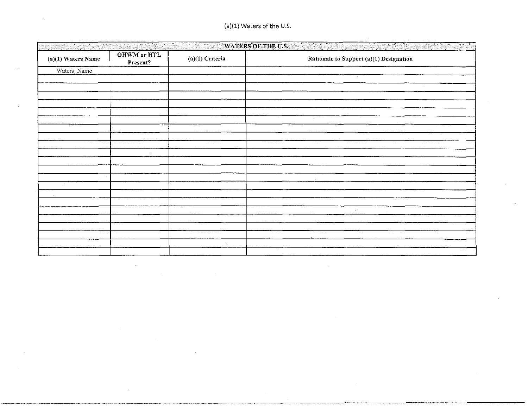# (a)(l} Waters of the U.S.

|                    |                         |                   | WATERS OF THE U.S.                      |
|--------------------|-------------------------|-------------------|-----------------------------------------|
| (a)(1) Waters Name | OHWM or HTL<br>Present? | $(a)(1)$ Criteria | Rationale to Support (a)(1) Designation |
| Waters_Name        |                         |                   |                                         |
|                    |                         |                   | $\sim$                                  |
|                    |                         |                   |                                         |
|                    |                         |                   |                                         |
|                    |                         |                   |                                         |
|                    |                         |                   |                                         |
|                    |                         |                   |                                         |
|                    |                         |                   |                                         |
|                    |                         |                   |                                         |
|                    |                         |                   |                                         |
|                    | $\sim$                  |                   |                                         |
|                    |                         |                   |                                         |
|                    |                         |                   |                                         |
| $\sim$             |                         |                   | $\sim$                                  |
| <b>COL</b>         |                         |                   |                                         |
| $\sim$             |                         |                   |                                         |
|                    |                         |                   | $\sim$                                  |
|                    |                         |                   |                                         |
|                    |                         |                   |                                         |
|                    |                         |                   |                                         |
|                    |                         | $\epsilon$        |                                         |
|                    |                         |                   |                                         |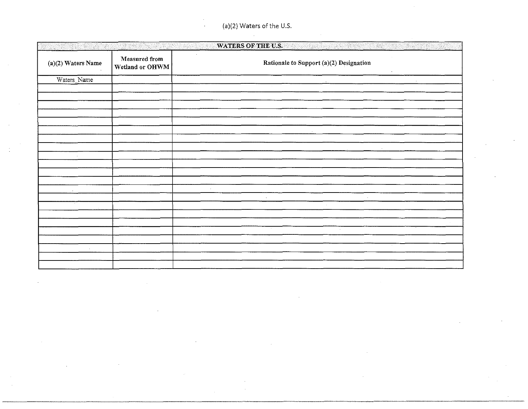(a)(2) Waters of the U.S.

 $\overline{\phantom{a}}$ 

|                                  | <b>WATERS OF THE U.S.</b>                                       |
|----------------------------------|-----------------------------------------------------------------|
| Measured from<br>Wetland or OHWM | $\epsilon$<br>Rationale to Support (a)(2) Designation<br>$\sim$ |
|                                  | $\sim 10^{-1}$                                                  |
|                                  |                                                                 |
|                                  |                                                                 |
|                                  |                                                                 |
|                                  |                                                                 |
|                                  |                                                                 |
|                                  |                                                                 |
|                                  |                                                                 |
|                                  |                                                                 |
|                                  |                                                                 |
|                                  |                                                                 |
|                                  | $\sim$                                                          |
|                                  | $\lambda$                                                       |
|                                  |                                                                 |
|                                  |                                                                 |
|                                  |                                                                 |
|                                  |                                                                 |
|                                  |                                                                 |
|                                  |                                                                 |
|                                  |                                                                 |
|                                  |                                                                 |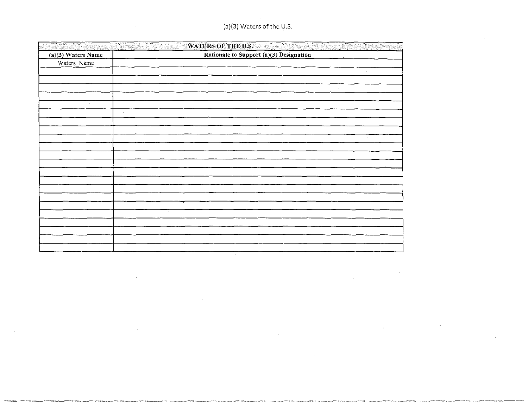(a)(3) Waters of the U.S.

|                             | WATERS OF THE U.S.                      |  |
|-----------------------------|-----------------------------------------|--|
| $\sqrt{(a)(3)}$ Waters Name | Rationale to Support (a)(3) Designation |  |
| Waters_Name                 |                                         |  |
|                             | $\alpha = -1$                           |  |
|                             |                                         |  |
|                             |                                         |  |
|                             |                                         |  |
|                             |                                         |  |
|                             | $\epsilon$                              |  |
|                             |                                         |  |
|                             | $\ddot{\phantom{1}}$                    |  |
|                             | $\ddot{\phantom{a}}$                    |  |
| $\cdot$                     |                                         |  |
|                             |                                         |  |
|                             |                                         |  |
|                             |                                         |  |
|                             |                                         |  |
|                             |                                         |  |
|                             |                                         |  |
|                             |                                         |  |
|                             |                                         |  |
|                             | $\sim$                                  |  |
|                             |                                         |  |
|                             |                                         |  |
|                             |                                         |  |
|                             |                                         |  |

 $\sim$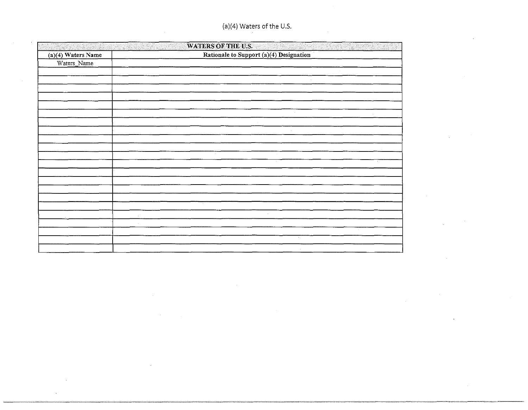# (a)(4) Waters of the U.S.

 $\sim$ 

 $\sim$ 

~ ..•..... ~~~--~~---~~--~~~~-~~~~-~~~~~~~~~~~~~~~~~~~~~~~~~~~~~~~~~~~~~~~~~~~~~~~~

|                      | WATERS OF THE U.S.                      |
|----------------------|-----------------------------------------|
| $(a)(4)$ Waters Name | Rationale to Support (a)(4) Designation |
| Waters_Name          |                                         |
|                      |                                         |
|                      |                                         |
|                      |                                         |
|                      |                                         |
|                      |                                         |
|                      |                                         |
|                      |                                         |
|                      |                                         |
|                      |                                         |
|                      |                                         |
|                      |                                         |
|                      |                                         |
|                      |                                         |
|                      |                                         |
|                      |                                         |
|                      |                                         |
|                      |                                         |
|                      | $\bullet$                               |
|                      |                                         |
|                      |                                         |
|                      |                                         |
|                      |                                         |

 $\sim$ 

 $\mathcal{L}_{\mathbf{r}}$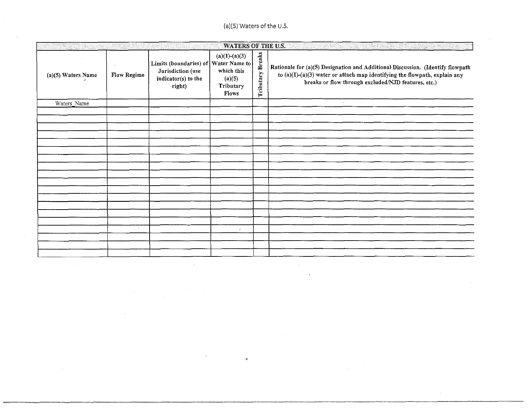# (a)(S) Waters of the U.S.

|                      |                    |                                                                                            | <b>WATERS OF THE U.S.</b>                                     |                         |                                                                                                                                                                                                                     |
|----------------------|--------------------|--------------------------------------------------------------------------------------------|---------------------------------------------------------------|-------------------------|---------------------------------------------------------------------------------------------------------------------------------------------------------------------------------------------------------------------|
| $(a)(5)$ Waters Name | <b>Flow Regime</b> | Limits (boundaries) of Water Name to<br>Jurisdiction (use<br>indicator(s) to the<br>right) | $(a)(1)-(a)(3)$<br>which this<br>(a)(5)<br>Tributary<br>Flows | <b>Tributary Breaks</b> | Rationale for (a)(5) Designation and Additional Discussion. (Identify flowpath<br>to (a)(1)-(a)(3) water or attach map identifying the flowpath, explain any<br>breaks or flow through excluded/NJD features, etc.) |
| Waters Name          |                    |                                                                                            |                                                               |                         |                                                                                                                                                                                                                     |
|                      |                    |                                                                                            |                                                               |                         |                                                                                                                                                                                                                     |
|                      |                    |                                                                                            |                                                               |                         |                                                                                                                                                                                                                     |
|                      |                    |                                                                                            |                                                               |                         |                                                                                                                                                                                                                     |
|                      |                    |                                                                                            |                                                               |                         |                                                                                                                                                                                                                     |
|                      |                    |                                                                                            |                                                               |                         |                                                                                                                                                                                                                     |
|                      |                    |                                                                                            |                                                               |                         |                                                                                                                                                                                                                     |
|                      |                    |                                                                                            |                                                               |                         |                                                                                                                                                                                                                     |
|                      |                    |                                                                                            |                                                               |                         |                                                                                                                                                                                                                     |
|                      |                    |                                                                                            |                                                               |                         |                                                                                                                                                                                                                     |
|                      |                    |                                                                                            |                                                               |                         |                                                                                                                                                                                                                     |
|                      |                    |                                                                                            |                                                               |                         |                                                                                                                                                                                                                     |
|                      |                    |                                                                                            |                                                               |                         |                                                                                                                                                                                                                     |
|                      |                    |                                                                                            |                                                               |                         |                                                                                                                                                                                                                     |
|                      |                    |                                                                                            |                                                               |                         |                                                                                                                                                                                                                     |
|                      | $\sim$             |                                                                                            |                                                               |                         |                                                                                                                                                                                                                     |
|                      |                    |                                                                                            | $\mathbf{M}^{\text{max}}$ and                                 |                         |                                                                                                                                                                                                                     |
|                      |                    |                                                                                            |                                                               |                         |                                                                                                                                                                                                                     |
|                      |                    |                                                                                            |                                                               |                         |                                                                                                                                                                                                                     |
|                      |                    |                                                                                            |                                                               |                         |                                                                                                                                                                                                                     |

 $\sim$ 

 $\sigma$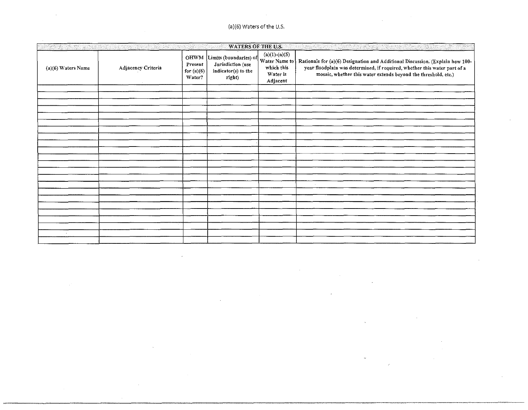## (a)(6) Waters of the U.S.

 $\sim$ 

|                      |                    |                                   | <b>WATERS OF THE U.S.</b>                                                         |                                                                        |                                                                                                                                                                                                                              |
|----------------------|--------------------|-----------------------------------|-----------------------------------------------------------------------------------|------------------------------------------------------------------------|------------------------------------------------------------------------------------------------------------------------------------------------------------------------------------------------------------------------------|
| $(a)(6)$ Waters Name | Adjacency Criteria | Present<br>for $(a)(6)$<br>Water? | OHWM Limits (boundaries) of<br>Jurisdiction (use<br>indicator(s) to the<br>right) | $(a)(1)-(a)(5)$<br>Water Name to<br>which this<br>Water is<br>Adjacent | Rationale for (a)(6) Designation and Additional Discussion. (Explain how 100-<br>year floodplain was determined, if required, whether this water part of a<br>mosaic, whether this water extends beyond the threshold, etc.) |
|                      |                    |                                   |                                                                                   |                                                                        |                                                                                                                                                                                                                              |
|                      |                    |                                   |                                                                                   |                                                                        |                                                                                                                                                                                                                              |
|                      |                    |                                   |                                                                                   |                                                                        |                                                                                                                                                                                                                              |
|                      |                    |                                   |                                                                                   |                                                                        |                                                                                                                                                                                                                              |
|                      |                    |                                   |                                                                                   |                                                                        |                                                                                                                                                                                                                              |
|                      |                    |                                   |                                                                                   |                                                                        |                                                                                                                                                                                                                              |
|                      |                    |                                   |                                                                                   |                                                                        |                                                                                                                                                                                                                              |
|                      |                    |                                   |                                                                                   |                                                                        |                                                                                                                                                                                                                              |
|                      |                    |                                   |                                                                                   |                                                                        |                                                                                                                                                                                                                              |
|                      |                    |                                   |                                                                                   |                                                                        |                                                                                                                                                                                                                              |
|                      |                    |                                   |                                                                                   |                                                                        |                                                                                                                                                                                                                              |
|                      |                    |                                   |                                                                                   |                                                                        |                                                                                                                                                                                                                              |
|                      |                    |                                   |                                                                                   |                                                                        |                                                                                                                                                                                                                              |
|                      |                    |                                   |                                                                                   |                                                                        | $\sim$                                                                                                                                                                                                                       |
|                      |                    |                                   |                                                                                   |                                                                        |                                                                                                                                                                                                                              |
|                      |                    |                                   |                                                                                   |                                                                        |                                                                                                                                                                                                                              |
|                      |                    |                                   |                                                                                   |                                                                        |                                                                                                                                                                                                                              |
|                      |                    |                                   |                                                                                   |                                                                        |                                                                                                                                                                                                                              |
|                      |                    |                                   |                                                                                   |                                                                        |                                                                                                                                                                                                                              |
| $\sim 10^{-11}$      |                    |                                   |                                                                                   |                                                                        |                                                                                                                                                                                                                              |
|                      |                    |                                   |                                                                                   |                                                                        |                                                                                                                                                                                                                              |
|                      |                    |                                   |                                                                                   |                                                                        |                                                                                                                                                                                                                              |

÷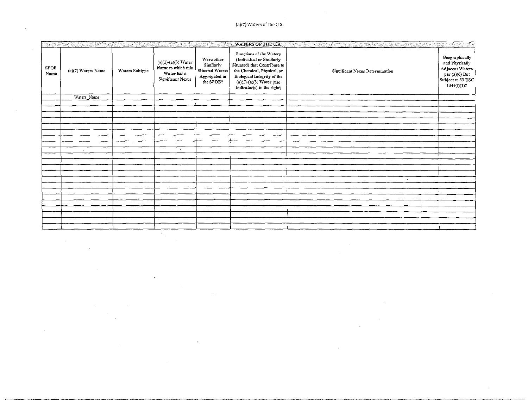#### (a)(7) Waters of the U.S.

 $\mathcal{L}_{\mathrm{eff}}$ 

|                     |                    |                |                                                                                 |                                                                                 | WATERS OF THE U.S.                                                                                                                                                                                           |                                                   |                                                                                                           |
|---------------------|--------------------|----------------|---------------------------------------------------------------------------------|---------------------------------------------------------------------------------|--------------------------------------------------------------------------------------------------------------------------------------------------------------------------------------------------------------|---------------------------------------------------|-----------------------------------------------------------------------------------------------------------|
| <b>SPOE</b><br>Name | (a)(7) Waters Name | Waters Subtype | $(a)(1)-(a)(3)$ Water<br>Name to which this<br>Water has a<br>Significant Nexus | Were other<br>Similarly<br><b>Situated Waters</b><br>Aggregated in<br>the SPOE? | Functions of the Waters<br>(Individual or Similarly<br>Situated) that Contribute to<br>the Chemical, Physical, or<br>Biological Integrity of the<br>$(a)(1)-(a)(3)$ Water (use<br>indicator(s) to the right) | $\sim 10^{-1}$<br>Significant Nexus Determination | Geographically<br>and Physically<br>Adjacent Waters<br>per (a)(6) But<br>Subject to 33 USC<br>1344(f)(1)? |
|                     | Waters Name        |                |                                                                                 |                                                                                 |                                                                                                                                                                                                              |                                                   |                                                                                                           |
|                     |                    |                |                                                                                 |                                                                                 |                                                                                                                                                                                                              |                                                   |                                                                                                           |
|                     |                    |                |                                                                                 |                                                                                 |                                                                                                                                                                                                              |                                                   |                                                                                                           |
|                     |                    |                |                                                                                 |                                                                                 |                                                                                                                                                                                                              |                                                   |                                                                                                           |
|                     |                    |                |                                                                                 |                                                                                 |                                                                                                                                                                                                              |                                                   |                                                                                                           |
|                     |                    |                |                                                                                 |                                                                                 |                                                                                                                                                                                                              |                                                   |                                                                                                           |
|                     |                    |                |                                                                                 |                                                                                 |                                                                                                                                                                                                              |                                                   |                                                                                                           |
|                     |                    |                |                                                                                 |                                                                                 |                                                                                                                                                                                                              |                                                   |                                                                                                           |
|                     |                    | $\sim$         |                                                                                 |                                                                                 |                                                                                                                                                                                                              |                                                   |                                                                                                           |
|                     |                    |                | $\sim$                                                                          |                                                                                 |                                                                                                                                                                                                              |                                                   |                                                                                                           |
|                     |                    |                |                                                                                 |                                                                                 |                                                                                                                                                                                                              |                                                   |                                                                                                           |
|                     |                    |                |                                                                                 |                                                                                 |                                                                                                                                                                                                              |                                                   |                                                                                                           |
|                     |                    |                |                                                                                 |                                                                                 |                                                                                                                                                                                                              |                                                   |                                                                                                           |
|                     |                    |                |                                                                                 |                                                                                 |                                                                                                                                                                                                              |                                                   |                                                                                                           |
|                     |                    |                |                                                                                 |                                                                                 |                                                                                                                                                                                                              |                                                   |                                                                                                           |
|                     |                    |                |                                                                                 |                                                                                 |                                                                                                                                                                                                              |                                                   |                                                                                                           |
|                     |                    |                |                                                                                 |                                                                                 |                                                                                                                                                                                                              |                                                   |                                                                                                           |
|                     |                    |                |                                                                                 |                                                                                 |                                                                                                                                                                                                              |                                                   |                                                                                                           |
|                     |                    |                |                                                                                 |                                                                                 |                                                                                                                                                                                                              |                                                   |                                                                                                           |
|                     |                    |                |                                                                                 |                                                                                 |                                                                                                                                                                                                              |                                                   |                                                                                                           |
|                     |                    |                |                                                                                 |                                                                                 |                                                                                                                                                                                                              |                                                   |                                                                                                           |
|                     |                    |                |                                                                                 |                                                                                 |                                                                                                                                                                                                              |                                                   |                                                                                                           |
|                     |                    |                |                                                                                 |                                                                                 |                                                                                                                                                                                                              |                                                   |                                                                                                           |

 $\overline{\phantom{a}}$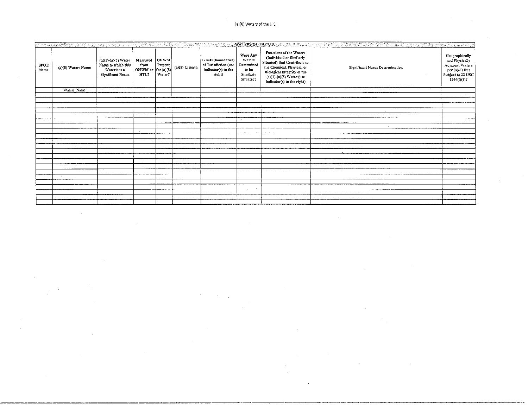#### (a)(8) Waters of the U.S.

|                     | <b>Language Constitution</b> |                                                                                          |                                                                         |                           |                   |                                                                              | WATERS OF THE U.S.                                                          |                                                                                                                                                                                                              |                                 |                                                                                                                     |
|---------------------|------------------------------|------------------------------------------------------------------------------------------|-------------------------------------------------------------------------|---------------------------|-------------------|------------------------------------------------------------------------------|-----------------------------------------------------------------------------|--------------------------------------------------------------------------------------------------------------------------------------------------------------------------------------------------------------|---------------------------------|---------------------------------------------------------------------------------------------------------------------|
| <b>SPOE</b><br>Name | (a)(8) Waters Name           | $(a)(1)$ $(a)(3)$ Water<br>Name to which this<br>Water has a<br><b>Significant Nexus</b> | Measured<br>from<br>OHWM or $\left  \text{for } (a)(8) \right $<br>HTL? | OHWM<br>Present<br>Water? | $(a)(3)$ Criteria | Limits (boundaries)<br>of Jurisdiction (use<br>indicator(s) to the<br>right) | Were Any<br>Waters<br>${\bf Determined}$<br>to be<br>Similarly<br>Situated? | Functions of the Waters<br>(Individual or Similarly<br>Situated) that Contribute to<br>the Chemical, Physical, or<br>Biological Integrity of the<br>$(a)(1)-(a)(3)$ Water (use<br>indicator(s) to the right) | Significant Nexus Determination | Geographically<br>and Physically<br><b>Adjacent Waters</b><br>per (a)(6) But<br>Subject to 33 USC<br>$1344(f)(1)$ ? |
|                     | Waters Name                  |                                                                                          |                                                                         |                           |                   |                                                                              |                                                                             |                                                                                                                                                                                                              |                                 |                                                                                                                     |
|                     |                              |                                                                                          |                                                                         |                           |                   |                                                                              |                                                                             |                                                                                                                                                                                                              |                                 |                                                                                                                     |
|                     |                              |                                                                                          |                                                                         |                           |                   |                                                                              |                                                                             |                                                                                                                                                                                                              |                                 |                                                                                                                     |
|                     |                              |                                                                                          |                                                                         |                           |                   |                                                                              |                                                                             |                                                                                                                                                                                                              |                                 |                                                                                                                     |
|                     |                              |                                                                                          |                                                                         |                           |                   |                                                                              |                                                                             |                                                                                                                                                                                                              |                                 |                                                                                                                     |
|                     |                              | <b>College</b>                                                                           |                                                                         |                           |                   |                                                                              |                                                                             |                                                                                                                                                                                                              |                                 |                                                                                                                     |
|                     |                              |                                                                                          |                                                                         |                           |                   |                                                                              |                                                                             |                                                                                                                                                                                                              |                                 |                                                                                                                     |
|                     |                              |                                                                                          |                                                                         |                           |                   |                                                                              |                                                                             |                                                                                                                                                                                                              | $\sim 10^{-11}$                 |                                                                                                                     |
|                     |                              |                                                                                          |                                                                         |                           |                   |                                                                              |                                                                             |                                                                                                                                                                                                              |                                 |                                                                                                                     |
|                     |                              |                                                                                          |                                                                         |                           |                   |                                                                              |                                                                             |                                                                                                                                                                                                              |                                 |                                                                                                                     |
|                     |                              |                                                                                          |                                                                         |                           |                   |                                                                              |                                                                             |                                                                                                                                                                                                              |                                 |                                                                                                                     |
|                     |                              |                                                                                          |                                                                         |                           |                   |                                                                              |                                                                             |                                                                                                                                                                                                              |                                 | $\sim$                                                                                                              |
|                     |                              |                                                                                          |                                                                         |                           |                   |                                                                              |                                                                             |                                                                                                                                                                                                              |                                 |                                                                                                                     |
|                     |                              | <b>Contract</b>                                                                          |                                                                         |                           |                   |                                                                              |                                                                             |                                                                                                                                                                                                              |                                 |                                                                                                                     |
|                     |                              |                                                                                          |                                                                         |                           |                   |                                                                              |                                                                             |                                                                                                                                                                                                              |                                 |                                                                                                                     |
|                     |                              |                                                                                          |                                                                         |                           |                   |                                                                              |                                                                             |                                                                                                                                                                                                              |                                 |                                                                                                                     |
|                     |                              |                                                                                          |                                                                         |                           |                   |                                                                              |                                                                             |                                                                                                                                                                                                              |                                 |                                                                                                                     |
|                     |                              |                                                                                          |                                                                         |                           | $\sim$            |                                                                              |                                                                             |                                                                                                                                                                                                              |                                 |                                                                                                                     |
|                     |                              |                                                                                          |                                                                         |                           |                   |                                                                              |                                                                             |                                                                                                                                                                                                              |                                 |                                                                                                                     |
|                     |                              |                                                                                          |                                                                         |                           |                   |                                                                              |                                                                             |                                                                                                                                                                                                              |                                 |                                                                                                                     |
|                     |                              |                                                                                          |                                                                         |                           |                   |                                                                              |                                                                             |                                                                                                                                                                                                              |                                 |                                                                                                                     |
|                     |                              |                                                                                          |                                                                         |                           |                   |                                                                              |                                                                             |                                                                                                                                                                                                              |                                 |                                                                                                                     |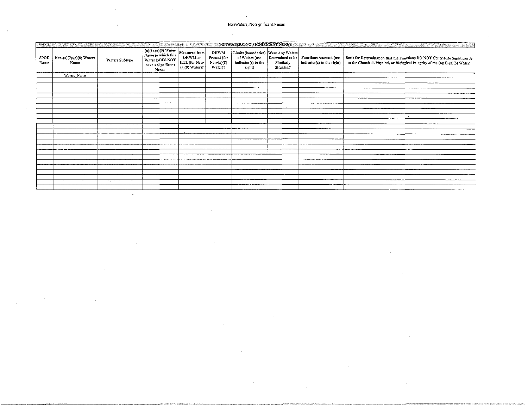#### NonWaters, No Significant Nexus

 $\sim$ 

|              |                                    |                | angan nagara barang di nagara sa nagaran                                                                 |                                              |                                                  | NONWATERS, NO SIGNIFICANT NEXUS                                                        |                                            |                                                       | <u>avanas verdav</u>                                                                                                                                           |
|--------------|------------------------------------|----------------|----------------------------------------------------------------------------------------------------------|----------------------------------------------|--------------------------------------------------|----------------------------------------------------------------------------------------|--------------------------------------------|-------------------------------------------------------|----------------------------------------------------------------------------------------------------------------------------------------------------------------|
| SPOE<br>Name | $Non-(a)(7)/(a)(8)$ Waters<br>Name | Waters Subtype | (a)(1)-(a)(3) Water<br>Name to which this Measured from<br>Water DOES NOT<br>have a Significant<br>Nexus | OHWM or<br>HTL (for Non-<br>$(a)(3)$ Water)? | OHWM<br>Present (for<br>Non- $(a)(3)$<br>Water)? | Limits (boundaries) Were Any Waters<br>of Waters (use<br>indicator(s) to the<br>right) | Determined to be<br>Similarly<br>Situated? | Functions Assessed (use<br>indicator(s) to the right) | Basis for Determination that the Functions DO NOT Contribute Significantly<br>to the Chemical, Physical, or Biological Integrity of the $(a)(1)-(a)(3)$ Water. |
|              | Waters Name                        |                |                                                                                                          |                                              |                                                  |                                                                                        |                                            |                                                       |                                                                                                                                                                |
|              |                                    |                |                                                                                                          |                                              |                                                  |                                                                                        |                                            |                                                       |                                                                                                                                                                |
|              |                                    |                |                                                                                                          |                                              |                                                  |                                                                                        |                                            |                                                       |                                                                                                                                                                |
|              |                                    |                |                                                                                                          |                                              |                                                  |                                                                                        |                                            |                                                       |                                                                                                                                                                |
|              |                                    |                |                                                                                                          |                                              |                                                  |                                                                                        |                                            |                                                       |                                                                                                                                                                |
|              |                                    |                |                                                                                                          |                                              |                                                  |                                                                                        |                                            |                                                       |                                                                                                                                                                |
|              |                                    |                |                                                                                                          |                                              |                                                  |                                                                                        |                                            |                                                       |                                                                                                                                                                |
|              |                                    |                |                                                                                                          |                                              |                                                  |                                                                                        |                                            |                                                       |                                                                                                                                                                |
|              |                                    |                |                                                                                                          |                                              |                                                  |                                                                                        |                                            |                                                       |                                                                                                                                                                |
|              |                                    |                |                                                                                                          |                                              |                                                  |                                                                                        |                                            |                                                       |                                                                                                                                                                |
|              |                                    |                |                                                                                                          |                                              |                                                  |                                                                                        |                                            |                                                       |                                                                                                                                                                |
|              |                                    |                |                                                                                                          |                                              |                                                  |                                                                                        |                                            |                                                       |                                                                                                                                                                |
|              |                                    |                |                                                                                                          |                                              |                                                  |                                                                                        |                                            |                                                       |                                                                                                                                                                |
|              |                                    |                |                                                                                                          |                                              |                                                  |                                                                                        |                                            |                                                       |                                                                                                                                                                |
|              |                                    |                |                                                                                                          |                                              |                                                  |                                                                                        |                                            |                                                       |                                                                                                                                                                |
|              |                                    |                |                                                                                                          |                                              |                                                  |                                                                                        |                                            |                                                       |                                                                                                                                                                |
|              |                                    |                |                                                                                                          |                                              |                                                  |                                                                                        |                                            |                                                       |                                                                                                                                                                |
|              | <b>Contract Contract Contract</b>  |                |                                                                                                          |                                              |                                                  |                                                                                        |                                            |                                                       |                                                                                                                                                                |
|              |                                    |                |                                                                                                          |                                              |                                                  |                                                                                        |                                            |                                                       |                                                                                                                                                                |
|              |                                    |                |                                                                                                          |                                              |                                                  |                                                                                        |                                            |                                                       |                                                                                                                                                                |
|              |                                    | $\sim$         |                                                                                                          |                                              |                                                  |                                                                                        |                                            |                                                       |                                                                                                                                                                |
|              |                                    |                |                                                                                                          |                                              |                                                  |                                                                                        |                                            |                                                       |                                                                                                                                                                |
|              |                                    |                |                                                                                                          |                                              |                                                  |                                                                                        |                                            |                                                       |                                                                                                                                                                |

 $\mathcal{A}$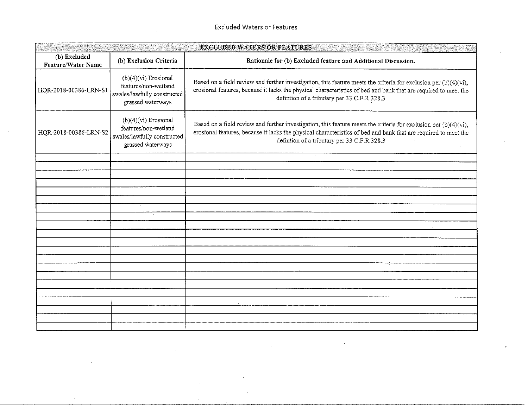|                                           |                                                                                                    | <b>EXCLUDED WATERS OR FEATURES</b>                                                                                                                                                                                                                                                    |
|-------------------------------------------|----------------------------------------------------------------------------------------------------|---------------------------------------------------------------------------------------------------------------------------------------------------------------------------------------------------------------------------------------------------------------------------------------|
| (b) Excluded<br><b>Feature/Water Name</b> | (b) Exclusion Criteria                                                                             | Rationale for (b) Excluded feature and Additional Discussion.                                                                                                                                                                                                                         |
| HQR-2018-00386-LRN-S1                     | $(b)(4)(vi)$ Erosional<br>features/non-wetland<br>swales/lawfully constructed<br>grassed waterways | Based on a field review and further investigation, this feature meets the criteria for exclusion per (b)(4)(vi),<br>erosional features, because it lacks the physical characteristics of bed and bank that are required to meet the<br>defintion of a tributary per 33 C.F.R 328.3    |
| HQR-2018-00386-LRN-S2                     | $(b)(4)(vi)$ Erosional<br>features/non-wetland<br>swales/lawfully constructed<br>grassed waterways | Based on a field review and further investigation, this feature meets the criteria for exclusion per $(b)(4)(vi)$ ,<br>erosional features, because it lacks the physical characteristics of bed and bank that are required to meet the<br>defintion of a tributary per 33 C.F.R 328.3 |
|                                           |                                                                                                    |                                                                                                                                                                                                                                                                                       |
|                                           |                                                                                                    |                                                                                                                                                                                                                                                                                       |
|                                           |                                                                                                    |                                                                                                                                                                                                                                                                                       |
|                                           |                                                                                                    |                                                                                                                                                                                                                                                                                       |
|                                           |                                                                                                    |                                                                                                                                                                                                                                                                                       |
|                                           |                                                                                                    |                                                                                                                                                                                                                                                                                       |
|                                           |                                                                                                    |                                                                                                                                                                                                                                                                                       |
|                                           |                                                                                                    |                                                                                                                                                                                                                                                                                       |
|                                           |                                                                                                    |                                                                                                                                                                                                                                                                                       |
|                                           |                                                                                                    |                                                                                                                                                                                                                                                                                       |
|                                           |                                                                                                    |                                                                                                                                                                                                                                                                                       |
|                                           |                                                                                                    |                                                                                                                                                                                                                                                                                       |
|                                           |                                                                                                    |                                                                                                                                                                                                                                                                                       |
|                                           |                                                                                                    |                                                                                                                                                                                                                                                                                       |
|                                           |                                                                                                    |                                                                                                                                                                                                                                                                                       |
|                                           |                                                                                                    |                                                                                                                                                                                                                                                                                       |
|                                           |                                                                                                    |                                                                                                                                                                                                                                                                                       |
|                                           |                                                                                                    |                                                                                                                                                                                                                                                                                       |